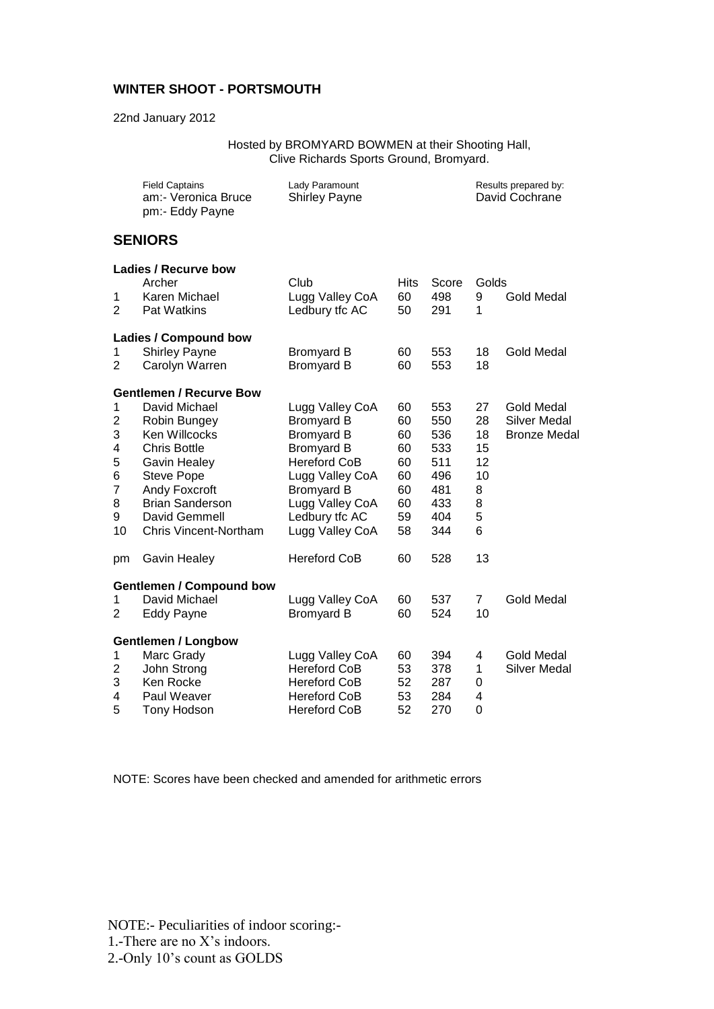## **WINTER SHOOT - PORTSMOUTH**

22nd January 2012

Hosted by BROMYARD BOWMEN at their Shooting Hall, Clive Richards Sports Ground, Bromyard.

|                | <b>Field Captains</b><br>am:- Veronica Bruce<br>pm:- Eddy Payne | Lady Paramount<br><b>Shirley Payne</b> |             |       |                | Results prepared by:<br>David Cochrane |  |
|----------------|-----------------------------------------------------------------|----------------------------------------|-------------|-------|----------------|----------------------------------------|--|
|                | <b>SENIORS</b>                                                  |                                        |             |       |                |                                        |  |
|                | Ladies / Recurve bow                                            |                                        |             |       |                |                                        |  |
|                | Archer                                                          | Club                                   | <b>Hits</b> | Score | Golds          |                                        |  |
| 1              | Karen Michael                                                   | Lugg Valley CoA                        | 60          | 498   | 9              | <b>Gold Medal</b>                      |  |
| $\overline{2}$ | <b>Pat Watkins</b>                                              | Ledbury tfc AC                         | 50          | 291   | 1              |                                        |  |
|                | <b>Ladies / Compound bow</b>                                    |                                        |             |       |                |                                        |  |
| 1              | <b>Shirley Payne</b>                                            | <b>Bromyard B</b>                      | 60          | 553   | 18             | <b>Gold Medal</b>                      |  |
| 2              | Carolyn Warren                                                  | <b>Bromyard B</b>                      | 60          | 553   | 18             |                                        |  |
|                | <b>Gentlemen / Recurve Bow</b>                                  |                                        |             |       |                |                                        |  |
| 1              | David Michael                                                   | Lugg Valley CoA                        | 60          | 553   | 27             | <b>Gold Medal</b>                      |  |
| $\overline{c}$ | Robin Bungey                                                    | <b>Bromyard B</b>                      | 60          | 550   | 28             | <b>Silver Medal</b>                    |  |
| 3              | Ken Willcocks                                                   | <b>Bromyard B</b>                      | 60          | 536   | 18             | <b>Bronze Medal</b>                    |  |
| 4              | <b>Chris Bottle</b>                                             | <b>Bromyard B</b>                      | 60          | 533   | 15             |                                        |  |
| 5              | <b>Gavin Healey</b>                                             | <b>Hereford CoB</b>                    | 60          | 511   | 12             |                                        |  |
| 6              | <b>Steve Pope</b>                                               | Lugg Valley CoA                        | 60          | 496   | 10             |                                        |  |
| 7              | Andy Foxcroft                                                   | <b>Bromyard B</b>                      | 60          | 481   | 8              |                                        |  |
| 8              | <b>Brian Sanderson</b>                                          | Lugg Valley CoA                        | 60          | 433   | 8              |                                        |  |
| 9              | David Gemmell                                                   | Ledbury tfc AC                         | 59          | 404   | 5              |                                        |  |
| 10             | <b>Chris Vincent-Northam</b>                                    | Lugg Valley CoA                        | 58          | 344   | 6              |                                        |  |
| pm             | <b>Gavin Healey</b>                                             | <b>Hereford CoB</b>                    | 60          | 528   | 13             |                                        |  |
|                | <b>Gentlemen / Compound bow</b>                                 |                                        |             |       |                |                                        |  |
| 1              | David Michael                                                   | Lugg Valley CoA                        | 60          | 537   | $\overline{7}$ | <b>Gold Medal</b>                      |  |
| 2              | <b>Eddy Payne</b>                                               | <b>Bromyard B</b>                      | 60          | 524   | 10             |                                        |  |
|                | <b>Gentlemen / Longbow</b>                                      |                                        |             |       |                |                                        |  |
| 1              | Marc Grady                                                      | Lugg Valley CoA                        | 60          | 394   | 4              | <b>Gold Medal</b>                      |  |
| 2              | John Strong                                                     | <b>Hereford CoB</b>                    | 53          | 378   | 1              | <b>Silver Medal</b>                    |  |
| 3              | Ken Rocke                                                       | <b>Hereford CoB</b>                    | 52          | 287   | 0              |                                        |  |
| 4              | Paul Weaver                                                     | <b>Hereford CoB</b>                    | 53          | 284   | 4              |                                        |  |
| 5              | Tony Hodson                                                     | <b>Hereford CoB</b>                    | 52          | 270   | $\overline{0}$ |                                        |  |

NOTE: Scores have been checked and amended for arithmetic errors

NOTE:- Peculiarities of indoor scoring:- 1.-There are no X's indoors. 2.-Only 10's count as GOLDS